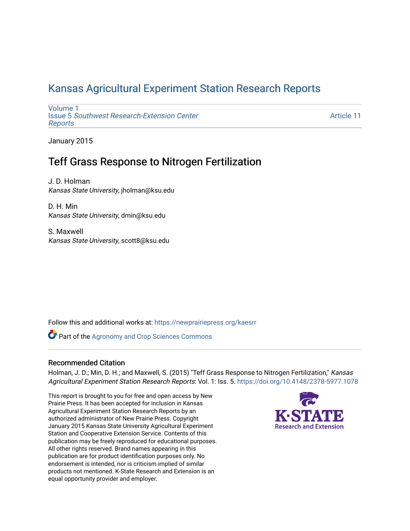## [Kansas Agricultural Experiment Station Research Reports](https://newprairiepress.org/kaesrr)

[Volume 1](https://newprairiepress.org/kaesrr/vol1) Issue 5 [Southwest Research-Extension Center](https://newprairiepress.org/kaesrr/vol1/iss5)  [Reports](https://newprairiepress.org/kaesrr/vol1/iss5)

[Article 11](https://newprairiepress.org/kaesrr/vol1/iss5/11) 

January 2015

## Teff Grass Response to Nitrogen Fertilization

J. D. Holman Kansas State University, jholman@ksu.edu

D. H. Min Kansas State University, dmin@ksu.edu

S. Maxwell Kansas State University, scott8@ksu.edu

Follow this and additional works at: [https://newprairiepress.org/kaesrr](https://newprairiepress.org/kaesrr?utm_source=newprairiepress.org%2Fkaesrr%2Fvol1%2Fiss5%2F11&utm_medium=PDF&utm_campaign=PDFCoverPages) 

**Part of the Agronomy and Crop Sciences Commons** 

#### Recommended Citation

Holman, J. D.; Min, D. H.; and Maxwell, S. (2015) "Teff Grass Response to Nitrogen Fertilization," Kansas Agricultural Experiment Station Research Reports: Vol. 1: Iss. 5.<https://doi.org/10.4148/2378-5977.1078>

This report is brought to you for free and open access by New Prairie Press. It has been accepted for inclusion in Kansas Agricultural Experiment Station Research Reports by an authorized administrator of New Prairie Press. Copyright January 2015 Kansas State University Agricultural Experiment Station and Cooperative Extension Service. Contents of this publication may be freely reproduced for educational purposes. All other rights reserved. Brand names appearing in this publication are for product identification purposes only. No endorsement is intended, nor is criticism implied of similar products not mentioned. K-State Research and Extension is an equal opportunity provider and employer.

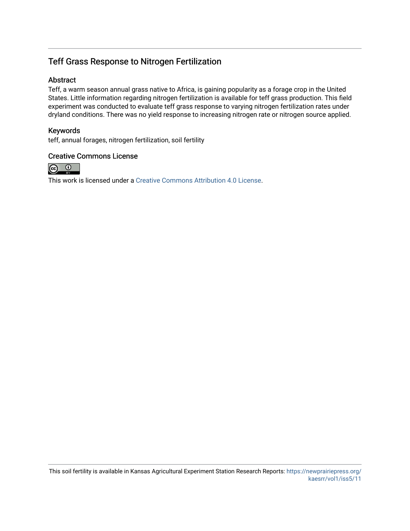### Teff Grass Response to Nitrogen Fertilization

### Abstract

Teff, a warm season annual grass native to Africa, is gaining popularity as a forage crop in the United States. Little information regarding nitrogen fertilization is available for teff grass production. This field experiment was conducted to evaluate teff grass response to varying nitrogen fertilization rates under dryland conditions. There was no yield response to increasing nitrogen rate or nitrogen source applied.

### Keywords

teff, annual forages, nitrogen fertilization, soil fertility

#### Creative Commons License



This work is licensed under a [Creative Commons Attribution 4.0 License](https://creativecommons.org/licenses/by/4.0/).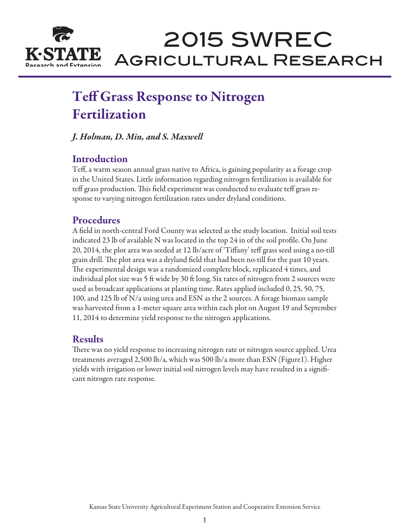

# 2015 SWREC Agricultural Research

## Teff Grass Response to Nitrogen Fertilization

*J. Holman, D. Min, and S. Maxwell*

## **Introduction**

Teff, a warm season annual grass native to Africa, is gaining popularity as a forage crop in the United States. Little information regarding nitrogen fertilization is available for teff grass production. This field experiment was conducted to evaluate teff grass response to varying nitrogen fertilization rates under dryland conditions.

## Procedures

A field in north-central Ford County was selected as the study location. Initial soil tests indicated 23 lb of available N was located in the top 24 in of the soil profile. On June 20, 2014, the plot area was seeded at 12 lb/acre of 'Tiffany' teff grass seed using a no-till grain drill. The plot area was a dryland field that had been no-till for the past 10 years. The experimental design was a randomized complete block, replicated 4 times, and individual plot size was 5 ft wide by 30 ft long. Six rates of nitrogen from 2 sources were used as broadcast applications at planting time. Rates applied included 0, 25, 50, 75, 100, and 125 lb of N/a using urea and ESN as the 2 sources. A forage biomass sample was harvested from a 1-meter square area within each plot on August 19 and September 11, 2014 to determine yield response to the nitrogen applications.

### Results

There was no yield response to increasing nitrogen rate or nitrogen source applied. Urea treatments averaged 2,500 lb/a, which was 500 lb/a more than ESN (Figure1). Higher yields with irrigation or lower initial soil nitrogen levels may have resulted in a significant nitrogen rate response.